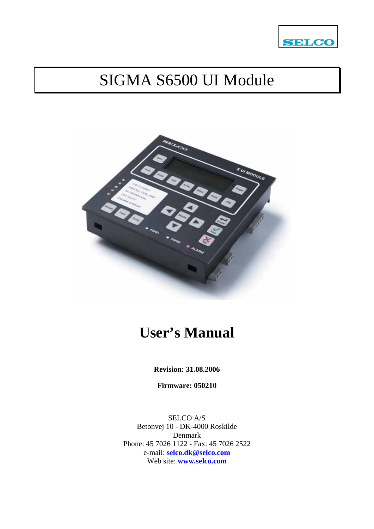

# SIGMA S6500 UI Module



# **User's Manual**

**Revision: 31.08.2006** 

**Firmware: 050210** 

SELCO A/S Betonvej 10 - DK-4000 Roskilde Denmark Phone: 45 7026 1122 - Fax: 45 7026 2522 e-mail: **[selco.dk@selco.com](mailto:selco.dk@selco.com)** Web site: **[www.selco.com](http://www.selco.com/)**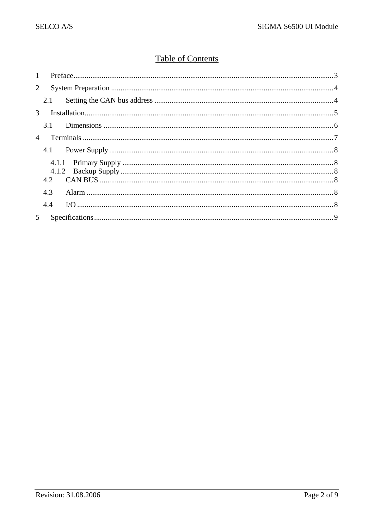### **Table of Contents**

| $\mathbf{1}$   |     |  |  |  |
|----------------|-----|--|--|--|
| $\overline{2}$ |     |  |  |  |
|                |     |  |  |  |
| $\mathcal{E}$  |     |  |  |  |
|                |     |  |  |  |
| $\overline{4}$ |     |  |  |  |
|                |     |  |  |  |
|                |     |  |  |  |
|                |     |  |  |  |
|                |     |  |  |  |
|                | 4.3 |  |  |  |
|                | 4.4 |  |  |  |
| 5              |     |  |  |  |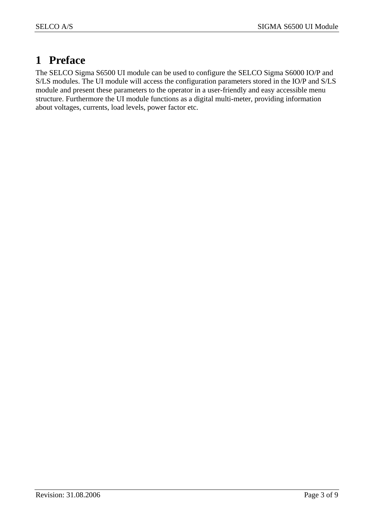## **1 Preface**

The SELCO Sigma S6500 UI module can be used to configure the SELCO Sigma S6000 IO/P and S/LS modules. The UI module will access the configuration parameters stored in the IO/P and S/LS module and present these parameters to the operator in a user-friendly and easy accessible menu structure. Furthermore the UI module functions as a digital multi-meter, providing information about voltages, currents, load levels, power factor etc.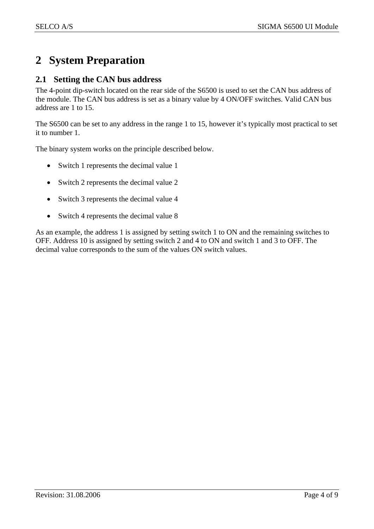# **2 System Preparation**

#### **2.1 Setting the CAN bus address**

The 4-point dip-switch located on the rear side of the S6500 is used to set the CAN bus address of the module. The CAN bus address is set as a binary value by 4 ON/OFF switches. Valid CAN bus address are 1 to 15.

The S6500 can be set to any address in the range 1 to 15, however it's typically most practical to set it to number 1.

The binary system works on the principle described below.

- Switch 1 represents the decimal value 1
- Switch 2 represents the decimal value 2
- Switch 3 represents the decimal value 4
- Switch 4 represents the decimal value 8

As an example, the address 1 is assigned by setting switch 1 to ON and the remaining switches to OFF. Address 10 is assigned by setting switch 2 and 4 to ON and switch 1 and 3 to OFF. The decimal value corresponds to the sum of the values ON switch values.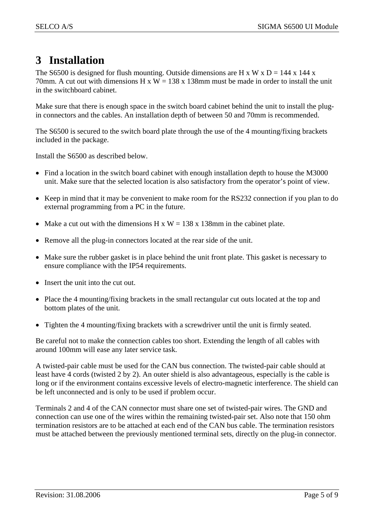### **3 Installation**

The S6500 is designed for flush mounting. Outside dimensions are H x W x  $D = 144$  x 144 x 70mm. A cut out with dimensions H  $x W = 138x 138$ mm must be made in order to install the unit in the switchboard cabinet.

Make sure that there is enough space in the switch board cabinet behind the unit to install the plugin connectors and the cables. An installation depth of between 50 and 70mm is recommended.

The S6500 is secured to the switch board plate through the use of the 4 mounting/fixing brackets included in the package.

Install the S6500 as described below.

- Find a location in the switch board cabinet with enough installation depth to house the M3000 unit. Make sure that the selected location is also satisfactory from the operator's point of view.
- Keep in mind that it may be convenient to make room for the RS232 connection if you plan to do external programming from a PC in the future.
- Make a cut out with the dimensions H x W = 138 x 138mm in the cabinet plate.
- Remove all the plug-in connectors located at the rear side of the unit.
- Make sure the rubber gasket is in place behind the unit front plate. This gasket is necessary to ensure compliance with the IP54 requirements.
- Insert the unit into the cut out.
- Place the 4 mounting/fixing brackets in the small rectangular cut outs located at the top and bottom plates of the unit.
- Tighten the 4 mounting/fixing brackets with a screwdriver until the unit is firmly seated.

Be careful not to make the connection cables too short. Extending the length of all cables with around 100mm will ease any later service task.

A twisted-pair cable must be used for the CAN bus connection. The twisted-pair cable should at least have 4 cords (twisted 2 by 2). An outer shield is also advantageous, especially is the cable is long or if the environment contains excessive levels of electro-magnetic interference. The shield can be left unconnected and is only to be used if problem occur.

Terminals 2 and 4 of the CAN connector must share one set of twisted-pair wires. The GND and connection can use one of the wires within the remaining twisted-pair set. Also note that 150 ohm termination resistors are to be attached at each end of the CAN bus cable. The termination resistors must be attached between the previously mentioned terminal sets, directly on the plug-in connector.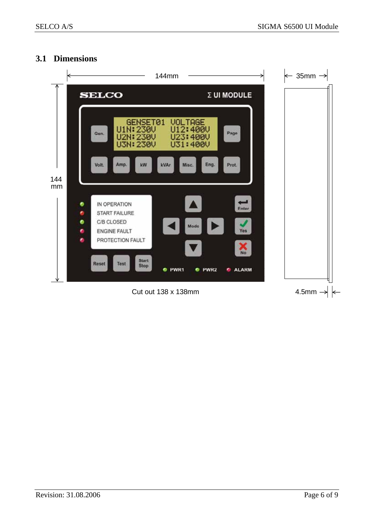#### **3.1 Dimensions**

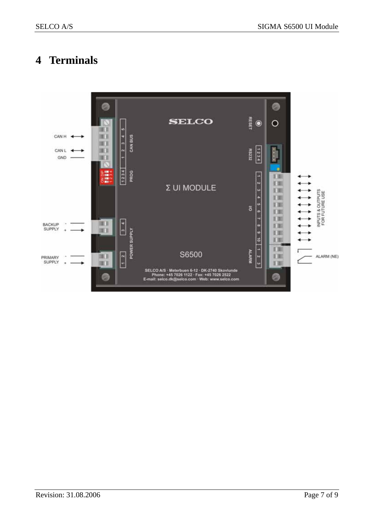## **4 Terminals**

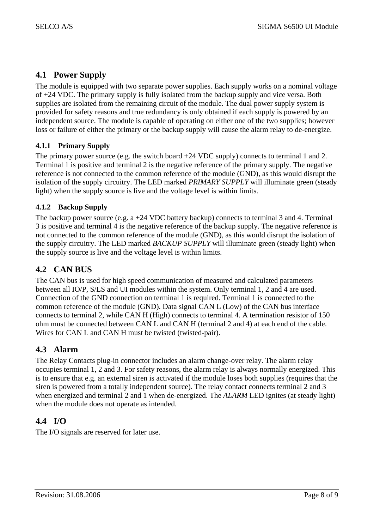#### **4.1 Power Supply**

The module is equipped with two separate power supplies. Each supply works on a nominal voltage of +24 VDC. The primary supply is fully isolated from the backup supply and vice versa. Both supplies are isolated from the remaining circuit of the module. The dual power supply system is provided for safety reasons and true redundancy is only obtained if each supply is powered by an independent source. The module is capable of operating on either one of the two supplies; however loss or failure of either the primary or the backup supply will cause the alarm relay to de-energize.

#### **4.1.1 Primary Supply**

The primary power source (e.g. the switch board  $+24$  VDC supply) connects to terminal 1 and 2. Terminal 1 is positive and terminal 2 is the negative reference of the primary supply. The negative reference is not connected to the common reference of the module (GND), as this would disrupt the isolation of the supply circuitry. The LED marked *PRIMARY SUPPLY* will illuminate green (steady light) when the supply source is live and the voltage level is within limits.

#### **4.1.2 Backup Supply**

The backup power source (e.g. a +24 VDC battery backup) connects to terminal 3 and 4. Terminal 3 is positive and terminal 4 is the negative reference of the backup supply. The negative reference is not connected to the common reference of the module (GND), as this would disrupt the isolation of the supply circuitry. The LED marked *BACKUP SUPPLY* will illuminate green (steady light) when the supply source is live and the voltage level is within limits.

### **4.2 CAN BUS**

The CAN bus is used for high speed communication of measured and calculated parameters between all IO/P, S/LS and UI modules within the system. Only terminal 1, 2 and 4 are used. Connection of the GND connection on terminal 1 is required. Terminal 1 is connected to the common reference of the module (GND). Data signal CAN L (Low) of the CAN bus interface connects to terminal 2, while CAN H (High) connects to terminal 4. A termination resistor of 150 ohm must be connected between CAN L and CAN H (terminal 2 and 4) at each end of the cable. Wires for CAN L and CAN H must be twisted (twisted-pair).

### **4.3 Alarm**

The Relay Contacts plug-in connector includes an alarm change-over relay. The alarm relay occupies terminal 1, 2 and 3. For safety reasons, the alarm relay is always normally energized. This is to ensure that e.g. an external siren is activated if the module loses both supplies (requires that the siren is powered from a totally independent source). The relay contact connects terminal 2 and 3 when energized and terminal 2 and 1 when de-energized. The *ALARM* LED ignites (at steady light) when the module does not operate as intended.

### **4.4 I/O**

The I/O signals are reserved for later use.